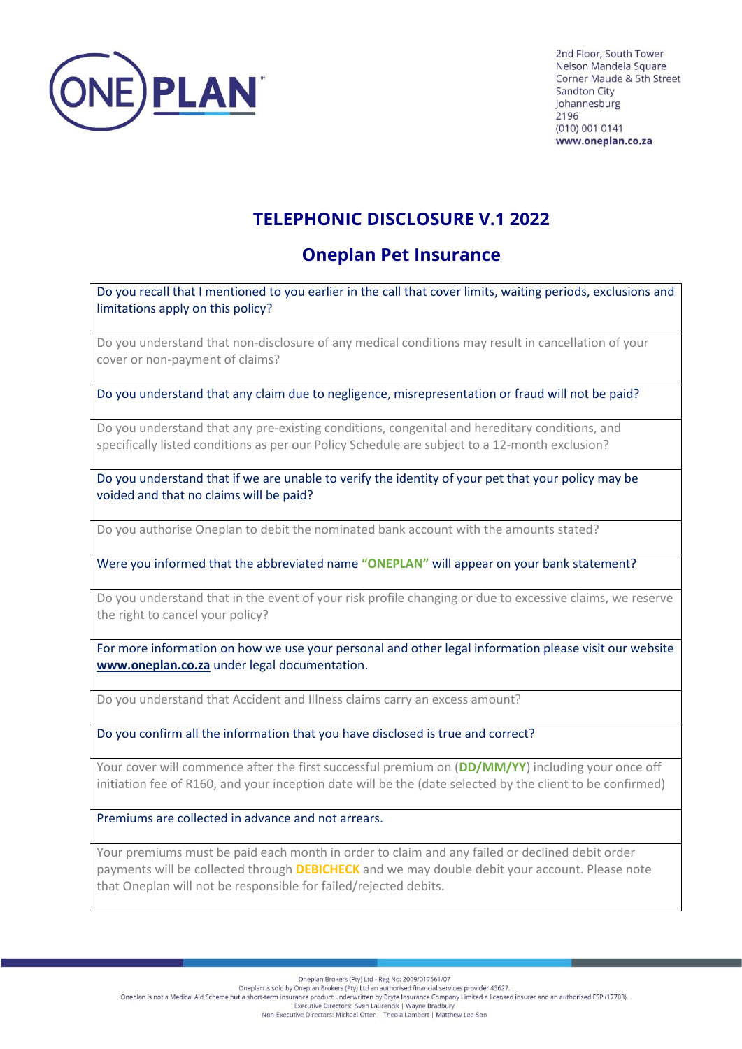

2nd Floor, South Tower Nelson Mandela Square Corner Maude & 5th Street **Sandton City** Iohannesburg 2196 (010) 001 0141 www.oneplan.co.za

## **TELEPHONIC DISCLOSURE V.1 2022**

## **Oneplan Pet Insurance**

Do you recall that I mentioned to you earlier in the call that cover limits, waiting periods, exclusions and limitations apply on this policy?

Do you understand that non-disclosure of any medical conditions may result in cancellation of your cover or non-payment of claims?

Do you understand that any claim due to negligence, misrepresentation or fraud will not be paid?

Do you understand that any pre-existing conditions, congenital and hereditary conditions, and specifically listed conditions as per our Policy Schedule are subject to a 12-month exclusion?

Do you understand that if we are unable to verify the identity of your pet that your policy may be voided and that no claims will be paid?

Do you authorise Oneplan to debit the nominated bank account with the amounts stated?

Were you informed that the abbreviated name **"ONEPLAN"** will appear on your bank statement?

Do you understand that in the event of your risk profile changing or due to excessive claims, we reserve the right to cancel your policy?

For more information on how we use your personal and other legal information please visit our website **[www.oneplan.co.za](http://www.oneplan.co.za/)** under legal documentation.

Do you understand that Accident and Illness claims carry an excess amount?

Do you confirm all the information that you have disclosed is true and correct?

Your cover will commence after the first successful premium on (**DD/MM/YY**) including your once off initiation fee of R160, and your inception date will be the (date selected by the client to be confirmed)

Premiums are collected in advance and not arrears.

Your premiums must be paid each month in order to claim and any failed or declined debit order payments will be collected through **DEBICHECK** and we may double debit your account. Please note that Oneplan will not be responsible for failed/rejected debits.

Oneplan Brokers (Pty) Ltd - Reg No: 2009/017561/07

Oneplan is sold by Oneplan Brockers (Pty) Ltd an authorised financial services provider 43627.<br>Oneplan Brockers (Pty) Ltd an authorised financial services provider 43627.<br>Oneplan is not a Medical Aid Scheme but a short-te Executive Directors: Sven Laurencik | Wayne Bradbury

Non-Executive Directors: Michael Otten | Theola Lambert | Matthew Lee-Son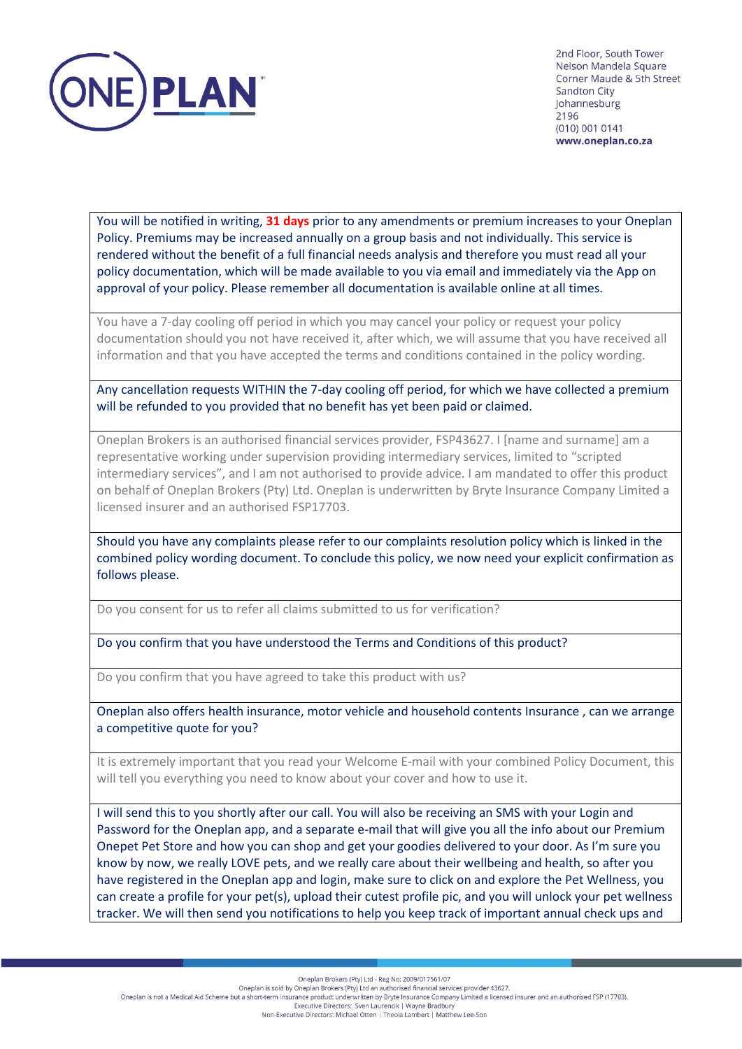

2nd Floor, South Tower Nelson Mandela Square Corner Maude & 5th Street **Sandton City** Johannesburg 2196 (010) 001 0141 www.oneplan.co.za

You will be notified in writing, **31 days** prior to any amendments or premium increases to your Oneplan Policy. Premiums may be increased annually on a group basis and not individually. This service is rendered without the benefit of a full financial needs analysis and therefore you must read all your policy documentation, which will be made available to you via email and immediately via the App on approval of your policy. Please remember all documentation is available online at all times.

You have a 7-day cooling off period in which you may cancel your policy or request your policy documentation should you not have received it, after which, we will assume that you have received all information and that you have accepted the terms and conditions contained in the policy wording.

Any cancellation requests WITHIN the 7-day cooling off period, for which we have collected a premium will be refunded to you provided that no benefit has yet been paid or claimed.

Oneplan Brokers is an authorised financial services provider, FSP43627. I [name and surname] am a representative working under supervision providing intermediary services, limited to "scripted intermediary services", and I am not authorised to provide advice. I am mandated to offer this product on behalf of Oneplan Brokers (Pty) Ltd. Oneplan is underwritten by Bryte Insurance Company Limited a licensed insurer and an authorised FSP17703.

Should you have any complaints please refer to our complaints resolution policy which is linked in the combined policy wording document. To conclude this policy, we now need your explicit confirmation as follows please.

Do you consent for us to refer all claims submitted to us for verification?

Do you confirm that you have understood the Terms and Conditions of this product?

Do you confirm that you have agreed to take this product with us?

Oneplan also offers health insurance, motor vehicle and household contents Insurance , can we arrange a competitive quote for you?

It is extremely important that you read your Welcome E-mail with your combined Policy Document, this will tell you everything you need to know about your cover and how to use it.

I will send this to you shortly after our call. You will also be receiving an SMS with your Login and Password for the Oneplan app, and a separate e-mail that will give you all the info about our Premium Onepet Pet Store and how you can shop and get your goodies delivered to your door. As I'm sure you know by now, we really LOVE pets, and we really care about their wellbeing and health, so after you have registered in the Oneplan app and login, make sure to click on and explore the Pet Wellness, you can create a profile for your pet(s), upload their cutest profile pic, and you will unlock your pet wellness tracker. We will then send you notifications to help you keep track of important annual check ups and

Oneplan Brokers (Pty) Ltd - Reg No: 2009/017561/07

Oneplan is sold by Oneplan Brokers (Pty) Ltd an authorised financial services provider 43627.<br>Oneplan is not a Medical Aid Scheme but a short-term insurance product underwritten by Bryte Insurance Company Limited a license

Executive Directors: Sven Laurencik | Wayne Bradbury Non-Executive Directors: Michael Otten | Theola Lambert | Matthew Lee-Son